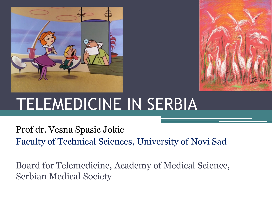



# TELEMEDICINE IN SERBIA

Prof dr. Vesna Spasic Jokic Faculty of Technical Sciences, University of Novi Sad

Board for Telemedicine, Academy of Medical Science, Serbian Medical Society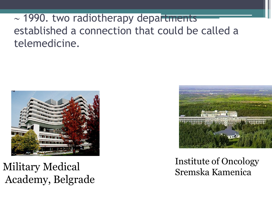### $\sim$  1990. two radiotherapy departments established a connection that could be called a telemedicine.



Military Medical Academy, Belgrade



#### Institute of Oncology Sremska Kamenica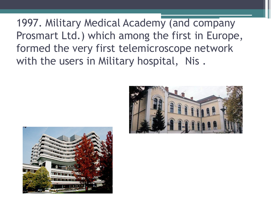1997. Military Medical Academy (and company Prosmart Ltd.) which among the first in Europe, formed the very first telemicroscope network with the users in Military hospital, Nis.



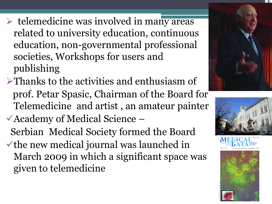- $\triangleright$  telemedicine was involved in many areas related to university education, continuous education, non-governmental professional societies, Workshops for users and publishing
- $\triangleright$ Thanks to the activities and enthusiasm of prof. Petar Spasic, Chairman of the Board for Telemedicine and artist , an amateur painter
- Academy of Medical Science –
- Serbian Medical Society formed the Board  $\checkmark$  the new medical journal was launched in March 2009 in which a significant space was given to telemedicine





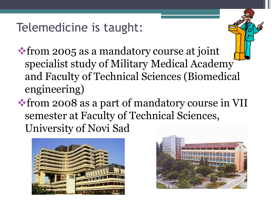Telemedicine is taught:

from 2005 as a mandatory course at joint specialist study of Military Medical Academy and Faculty of Technical Sciences (Biomedical engineering)

from 2008 as a part of mandatory course in VII semester at Faculty of Technical Sciences, University of Novi Sad



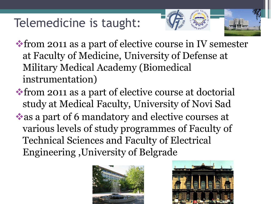## Telemedicine is taught:



- from 2011 as a part of elective course in IV semester at Faculty of Medicine, University of Defense at Military Medical Academy (Biomedical instrumentation)
- from 2011 as a part of elective course at doctorial study at Medical Faculty, University of Novi Sad as a part of 6 mandatory and elective courses at various levels of study programmes of Faculty of Technical Sciences and Faculty of Electrical Engineering ,University of Belgrade



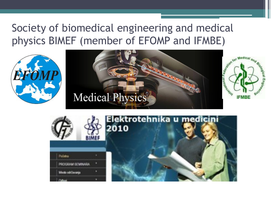#### Society of biomedical engineering and medical physics BIMEF (member of EFOMP and IFMBE)







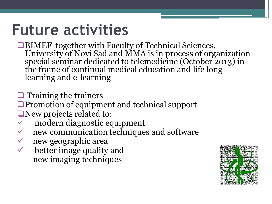## **Future activities**

■BIMEF together with Faculty of Technical Sciences, University of Novi Sad and MMA is in process of organization special seminar dedicated to telemedicine (October 2013) in the frame of continual medical education and life long learning and e-learning

 $\Box$  Training the trainers

**Promotion of equipment and technical support** New projects related to:

- modern diagnostic equipment
- new communication techniques and software
- new geographic area
- $\checkmark$  better image quality and new imaging techniques

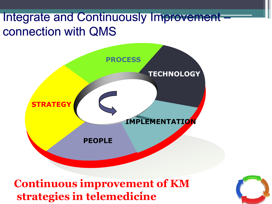### Integrate and Continuously Improvement – connection with QMS



9 **strategies in telemedicineContinuous improvement of KM**